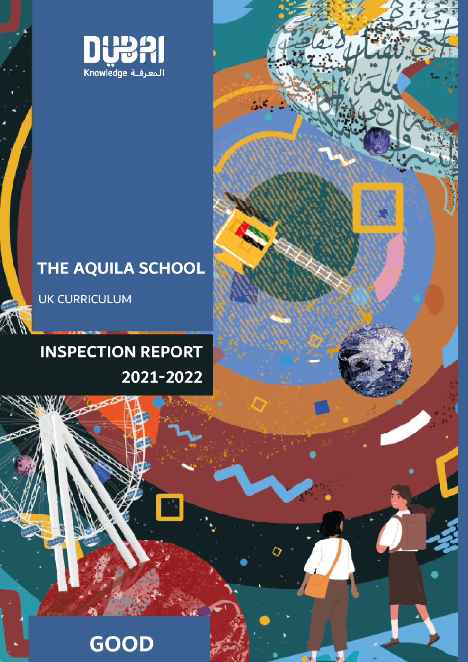

# **THE AQUILA SCHOOL**

UK CURRICULUM

# **INSPECTION REPORT** 2021-2022

<u>Cover</u>

# **GOOD**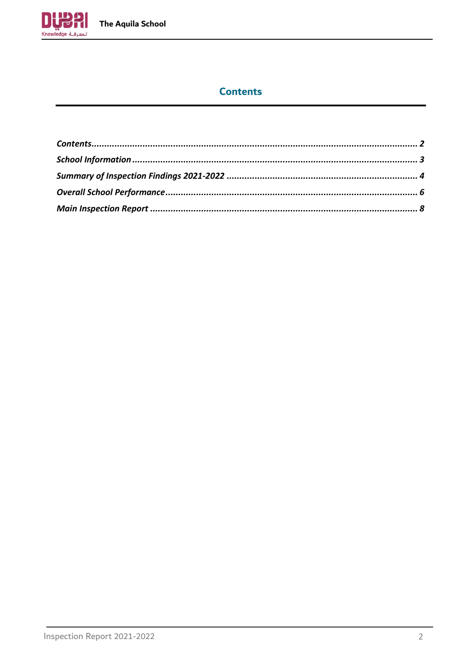

# **Contents**

<span id="page-1-0"></span>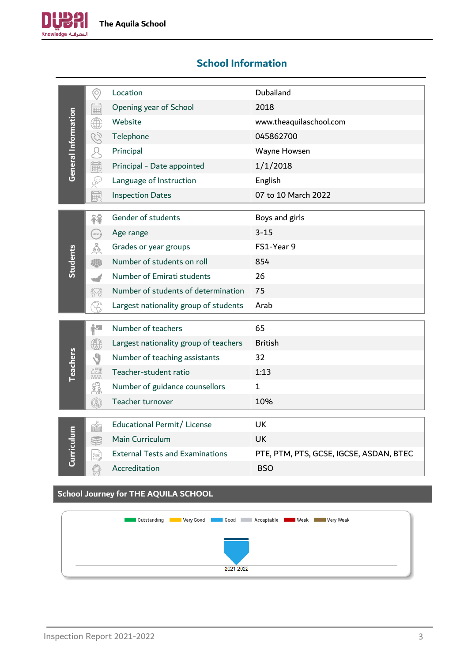

# <span id="page-2-0"></span>**School Information**

| Ë<br>Opening year of School<br>2018<br>General Information<br>www.theaquilaschool.com<br>Website<br>₩<br>045862700<br>C)<br>Telephone<br>Q<br>Principal<br>Wayne Howsen<br>最<br>1/1/2018<br>Principal - Date appointed<br>$\mathbb{S}$<br>Language of Instruction<br>English<br>的<br>07 to 10 March 2022<br><b>Inspection Dates</b><br>Gender of students<br>Boys and girls<br>释<br>$3 - 15$<br>Age range<br>AGE<br>$\frac{\partial}{\partial \varphi}$<br>FS1-Year 9<br>Grades or year groups<br>Students<br>Number of students on roll<br>854<br>Number of Emirati students<br>26<br>Number of students of determination<br>75<br>$\langle\!\!\!\langle \heartsuit \rangle\!\!\!\rangle$<br>Largest nationality group of students<br>Arab<br>i <sup>l.</sup><br>Number of teachers<br>65<br>Largest nationality group of teachers<br><b>British</b><br>$\bigcirc$<br><b>Teachers</b><br>Y<br>Number of teaching assistants<br>32<br>$\begin{array}{l} \mathbb{R}^{\mathbb{C}^{\mathbb{C}^{\mathbb{C}}}}_{\mathbb{R}^{\mathbb{C}^{\mathbb{C}}}}\\ \mathbb{R}^{\mathbb{C}^{\mathbb{C}^{\mathbb{C}}}}_{\mathbb{R}^{\mathbb{C}^{\mathbb{C}}}}\\ \mathbb{R}^{\mathbb{C}^{\mathbb{C}^{\mathbb{C}}}}_{\mathbb{R}^{\mathbb{C}^{\mathbb{C}}}}\\ \mathbb{R}^{\mathbb{C}^{\mathbb{C}^{\mathbb{C}}}}_{\mathbb{R}^{\mathbb{C}^{\mathbb{C}}}}\\ \mathbb{R}^{\math$<br>Teacher-student ratio<br>1:13<br><b>FID</b><br>COM<br>Number of guidance counsellors<br>$\mathbf{1}$<br>$\circledS$<br>Teacher turnover<br>10%<br><b>Educational Permit/License</b><br>UK<br><b>HAN</b><br>Ξ<br>Main Curriculum<br>Curricul<br>UK<br><b>External Tests and Examinations</b><br>PTE, PTM, PTS, GCSE, IGCSE, ASDAN, BTEC<br>霉<br>Accreditation<br><b>BSO</b> | $\odot$ | Location | Dubailand |
|--------------------------------------------------------------------------------------------------------------------------------------------------------------------------------------------------------------------------------------------------------------------------------------------------------------------------------------------------------------------------------------------------------------------------------------------------------------------------------------------------------------------------------------------------------------------------------------------------------------------------------------------------------------------------------------------------------------------------------------------------------------------------------------------------------------------------------------------------------------------------------------------------------------------------------------------------------------------------------------------------------------------------------------------------------------------------------------------------------------------------------------------------------------------------------------------------------------------------------------------------------------------------------------------------------------------------------------------------------------------------------------------------------------------------------------------------------------------------------------------------------------------------------------------------------------------------------------------------------------------------------------------------------------------------------------------------------------------------------------|---------|----------|-----------|
|                                                                                                                                                                                                                                                                                                                                                                                                                                                                                                                                                                                                                                                                                                                                                                                                                                                                                                                                                                                                                                                                                                                                                                                                                                                                                                                                                                                                                                                                                                                                                                                                                                                                                                                                      |         |          |           |
|                                                                                                                                                                                                                                                                                                                                                                                                                                                                                                                                                                                                                                                                                                                                                                                                                                                                                                                                                                                                                                                                                                                                                                                                                                                                                                                                                                                                                                                                                                                                                                                                                                                                                                                                      |         |          |           |
|                                                                                                                                                                                                                                                                                                                                                                                                                                                                                                                                                                                                                                                                                                                                                                                                                                                                                                                                                                                                                                                                                                                                                                                                                                                                                                                                                                                                                                                                                                                                                                                                                                                                                                                                      |         |          |           |
|                                                                                                                                                                                                                                                                                                                                                                                                                                                                                                                                                                                                                                                                                                                                                                                                                                                                                                                                                                                                                                                                                                                                                                                                                                                                                                                                                                                                                                                                                                                                                                                                                                                                                                                                      |         |          |           |
|                                                                                                                                                                                                                                                                                                                                                                                                                                                                                                                                                                                                                                                                                                                                                                                                                                                                                                                                                                                                                                                                                                                                                                                                                                                                                                                                                                                                                                                                                                                                                                                                                                                                                                                                      |         |          |           |
|                                                                                                                                                                                                                                                                                                                                                                                                                                                                                                                                                                                                                                                                                                                                                                                                                                                                                                                                                                                                                                                                                                                                                                                                                                                                                                                                                                                                                                                                                                                                                                                                                                                                                                                                      |         |          |           |
|                                                                                                                                                                                                                                                                                                                                                                                                                                                                                                                                                                                                                                                                                                                                                                                                                                                                                                                                                                                                                                                                                                                                                                                                                                                                                                                                                                                                                                                                                                                                                                                                                                                                                                                                      |         |          |           |
|                                                                                                                                                                                                                                                                                                                                                                                                                                                                                                                                                                                                                                                                                                                                                                                                                                                                                                                                                                                                                                                                                                                                                                                                                                                                                                                                                                                                                                                                                                                                                                                                                                                                                                                                      |         |          |           |
|                                                                                                                                                                                                                                                                                                                                                                                                                                                                                                                                                                                                                                                                                                                                                                                                                                                                                                                                                                                                                                                                                                                                                                                                                                                                                                                                                                                                                                                                                                                                                                                                                                                                                                                                      |         |          |           |
|                                                                                                                                                                                                                                                                                                                                                                                                                                                                                                                                                                                                                                                                                                                                                                                                                                                                                                                                                                                                                                                                                                                                                                                                                                                                                                                                                                                                                                                                                                                                                                                                                                                                                                                                      |         |          |           |
|                                                                                                                                                                                                                                                                                                                                                                                                                                                                                                                                                                                                                                                                                                                                                                                                                                                                                                                                                                                                                                                                                                                                                                                                                                                                                                                                                                                                                                                                                                                                                                                                                                                                                                                                      |         |          |           |
|                                                                                                                                                                                                                                                                                                                                                                                                                                                                                                                                                                                                                                                                                                                                                                                                                                                                                                                                                                                                                                                                                                                                                                                                                                                                                                                                                                                                                                                                                                                                                                                                                                                                                                                                      |         |          |           |
|                                                                                                                                                                                                                                                                                                                                                                                                                                                                                                                                                                                                                                                                                                                                                                                                                                                                                                                                                                                                                                                                                                                                                                                                                                                                                                                                                                                                                                                                                                                                                                                                                                                                                                                                      |         |          |           |
|                                                                                                                                                                                                                                                                                                                                                                                                                                                                                                                                                                                                                                                                                                                                                                                                                                                                                                                                                                                                                                                                                                                                                                                                                                                                                                                                                                                                                                                                                                                                                                                                                                                                                                                                      |         |          |           |
|                                                                                                                                                                                                                                                                                                                                                                                                                                                                                                                                                                                                                                                                                                                                                                                                                                                                                                                                                                                                                                                                                                                                                                                                                                                                                                                                                                                                                                                                                                                                                                                                                                                                                                                                      |         |          |           |
|                                                                                                                                                                                                                                                                                                                                                                                                                                                                                                                                                                                                                                                                                                                                                                                                                                                                                                                                                                                                                                                                                                                                                                                                                                                                                                                                                                                                                                                                                                                                                                                                                                                                                                                                      |         |          |           |
|                                                                                                                                                                                                                                                                                                                                                                                                                                                                                                                                                                                                                                                                                                                                                                                                                                                                                                                                                                                                                                                                                                                                                                                                                                                                                                                                                                                                                                                                                                                                                                                                                                                                                                                                      |         |          |           |
|                                                                                                                                                                                                                                                                                                                                                                                                                                                                                                                                                                                                                                                                                                                                                                                                                                                                                                                                                                                                                                                                                                                                                                                                                                                                                                                                                                                                                                                                                                                                                                                                                                                                                                                                      |         |          |           |
|                                                                                                                                                                                                                                                                                                                                                                                                                                                                                                                                                                                                                                                                                                                                                                                                                                                                                                                                                                                                                                                                                                                                                                                                                                                                                                                                                                                                                                                                                                                                                                                                                                                                                                                                      |         |          |           |
|                                                                                                                                                                                                                                                                                                                                                                                                                                                                                                                                                                                                                                                                                                                                                                                                                                                                                                                                                                                                                                                                                                                                                                                                                                                                                                                                                                                                                                                                                                                                                                                                                                                                                                                                      |         |          |           |
|                                                                                                                                                                                                                                                                                                                                                                                                                                                                                                                                                                                                                                                                                                                                                                                                                                                                                                                                                                                                                                                                                                                                                                                                                                                                                                                                                                                                                                                                                                                                                                                                                                                                                                                                      |         |          |           |
|                                                                                                                                                                                                                                                                                                                                                                                                                                                                                                                                                                                                                                                                                                                                                                                                                                                                                                                                                                                                                                                                                                                                                                                                                                                                                                                                                                                                                                                                                                                                                                                                                                                                                                                                      |         |          |           |
|                                                                                                                                                                                                                                                                                                                                                                                                                                                                                                                                                                                                                                                                                                                                                                                                                                                                                                                                                                                                                                                                                                                                                                                                                                                                                                                                                                                                                                                                                                                                                                                                                                                                                                                                      |         |          |           |
|                                                                                                                                                                                                                                                                                                                                                                                                                                                                                                                                                                                                                                                                                                                                                                                                                                                                                                                                                                                                                                                                                                                                                                                                                                                                                                                                                                                                                                                                                                                                                                                                                                                                                                                                      |         |          |           |
| <b>School Journey for THE AQUILA SCHOOL</b>                                                                                                                                                                                                                                                                                                                                                                                                                                                                                                                                                                                                                                                                                                                                                                                                                                                                                                                                                                                                                                                                                                                                                                                                                                                                                                                                                                                                                                                                                                                                                                                                                                                                                          |         |          |           |

| <b>Acceptable Market Meak Constanting Market Acceptable Meak Constanting Market Meak Constanting Meak</b> |
|-----------------------------------------------------------------------------------------------------------|
|                                                                                                           |
|                                                                                                           |
| 2021-2022                                                                                                 |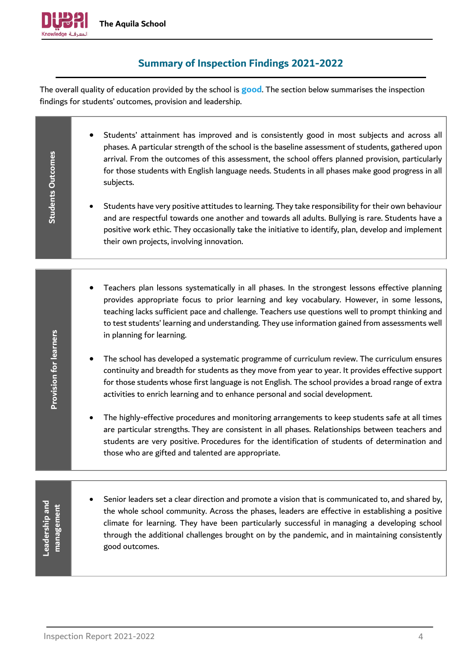

# **Summary of Inspection Findings 2021-2022**

<span id="page-3-0"></span>The overall quality of education provided by the school is **good**. The section below summarises the inspection findings for students' outcomes, provision and leadership.

| Students Outcomes            | Students' attainment has improved and is consistently good in most subjects and across all<br>phases. A particular strength of the school is the baseline assessment of students, gathered upon<br>arrival. From the outcomes of this assessment, the school offers planned provision, particularly<br>for those students with English language needs. Students in all phases make good progress in all<br>subjects.<br>Students have very positive attitudes to learning. They take responsibility for their own behaviour<br>and are respectful towards one another and towards all adults. Bullying is rare. Students have a<br>positive work ethic. They occasionally take the initiative to identify, plan, develop and implement<br>their own projects, involving innovation. |
|------------------------------|-------------------------------------------------------------------------------------------------------------------------------------------------------------------------------------------------------------------------------------------------------------------------------------------------------------------------------------------------------------------------------------------------------------------------------------------------------------------------------------------------------------------------------------------------------------------------------------------------------------------------------------------------------------------------------------------------------------------------------------------------------------------------------------|
|                              | Teachers plan lessons systematically in all phases. In the strongest lessons effective planning<br>provides appropriate focus to prior learning and key vocabulary. However, in some lessons,<br>teaching lacks sufficient pace and challenge. Teachers use questions well to prompt thinking and                                                                                                                                                                                                                                                                                                                                                                                                                                                                                   |
|                              | to test students' learning and understanding. They use information gained from assessments well<br>in planning for learning.                                                                                                                                                                                                                                                                                                                                                                                                                                                                                                                                                                                                                                                        |
| Provision for learners       | The school has developed a systematic programme of curriculum review. The curriculum ensures<br>continuity and breadth for students as they move from year to year. It provides effective support<br>for those students whose first language is not English. The school provides a broad range of extra<br>activities to enrich learning and to enhance personal and social development.                                                                                                                                                                                                                                                                                                                                                                                            |
|                              | The highly-effective procedures and monitoring arrangements to keep students safe at all times<br>are particular strengths. They are consistent in all phases. Relationships between teachers and<br>students are very positive. Procedures for the identification of students of determination and<br>those who are gifted and talented are appropriate.                                                                                                                                                                                                                                                                                                                                                                                                                           |
|                              |                                                                                                                                                                                                                                                                                                                                                                                                                                                                                                                                                                                                                                                                                                                                                                                     |
| Leadership and<br>management | Senior leaders set a clear direction and promote a vision that is communicated to, and shared by,<br>the whole school community. Across the phases, leaders are effective in establishing a positive<br>climate for learning. They have been particularly successful in managing a developing school<br>through the additional challenges brought on by the pandemic, and in maintaining consistently<br>good outcomes.                                                                                                                                                                                                                                                                                                                                                             |
|                              |                                                                                                                                                                                                                                                                                                                                                                                                                                                                                                                                                                                                                                                                                                                                                                                     |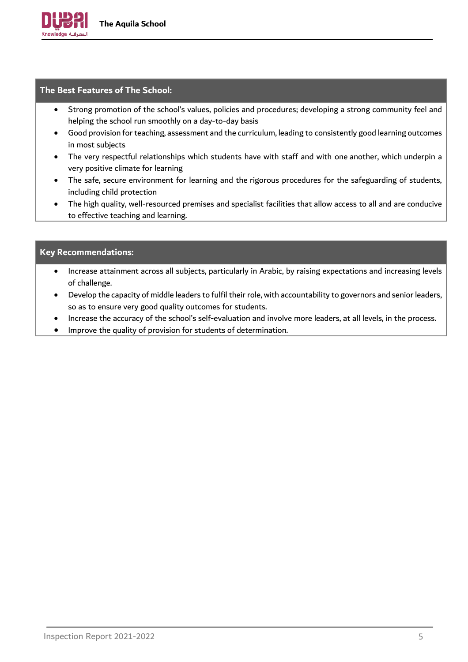

#### **The Best Features of The School:**

- Strong promotion of the school's values, policies and procedures; developing a strong community feel and helping the school run smoothly on a day-to-day basis
- Good provision for teaching, assessment and the curriculum, leading to consistently good learning outcomes in most subjects
- The very respectful relationships which students have with staff and with one another, which underpin a very positive climate for learning
- The safe, secure environment for learning and the rigorous procedures for the safeguarding of students, including child protection
- The high quality, well-resourced premises and specialist facilities that allow access to all and are conducive to effective teaching and learning.

#### **Key Recommendations:**

- Increase attainment across all subjects, particularly in Arabic, by raising expectations and increasing levels of challenge.
- Develop the capacity of middle leaders to fulfil their role, with accountability to governors and senior leaders, so as to ensure very good quality outcomes for students.
- Increase the accuracy of the school's self-evaluation and involve more leaders, at all levels, in the process.
- Improve the quality of provision for students of determination.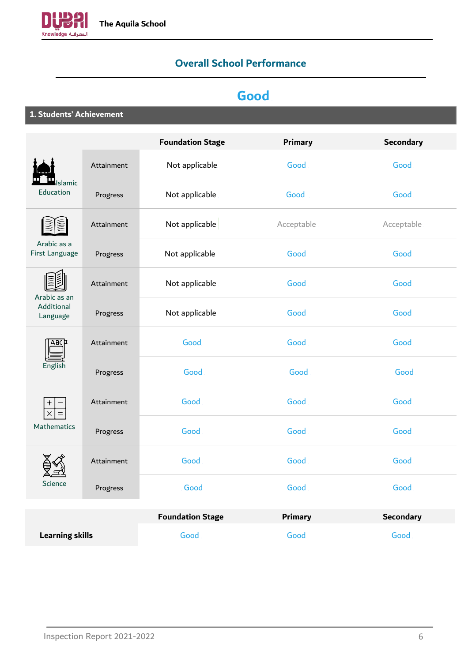<span id="page-5-0"></span>

# **Overall School Performance**

# **Good**

**1. Students' Achievement**

|                                        |            | <b>Foundation Stage</b> | <b>Primary</b> | <b>Secondary</b> |
|----------------------------------------|------------|-------------------------|----------------|------------------|
|                                        | Attainment | Not applicable          | Good           | Good             |
| slamic<br>Education                    | Progress   | Not applicable          | Good           | Good             |
|                                        | Attainment | Not applicable          | Acceptable     | Acceptable       |
| Arabic as a<br>First Language          | Progress   | Not applicable          | Good           | Good             |
|                                        | Attainment | Not applicable          | Good           | Good             |
| Arabic as an<br>Additional<br>Language | Progress   | Not applicable          | Good           | Good             |
| ABCP<br>English                        | Attainment | Good                    | Good           | Good             |
|                                        | Progress   | Good                    | Good           | Good             |
| $\pmb{+}$<br>$\times$                  | Attainment | Good                    | Good           | Good             |
| <b>Mathematics</b>                     | Progress   | Good                    | Good           | Good             |
| <b>Science</b>                         | Attainment | Good                    | Good           | Good             |
|                                        | Progress   | Good                    | Good           | Good             |
|                                        |            | <b>Foundation Stage</b> | <b>Primary</b> | <b>Secondary</b> |
| <b>Learning skills</b>                 |            | Good                    | Good           | Good             |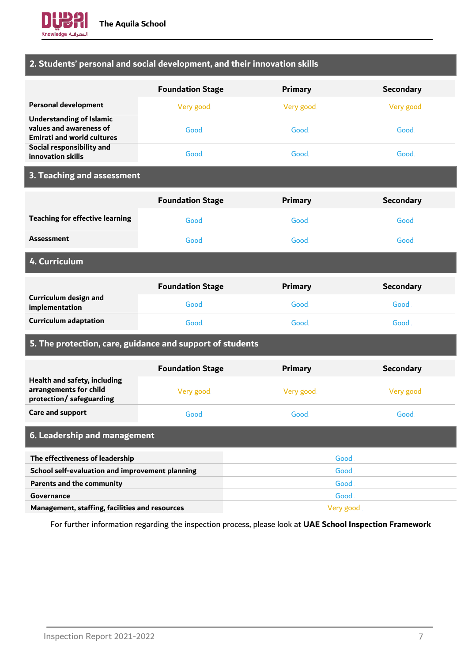

### **2. Students' personal and social development, and their innovation skills**

|                                                                                                 | <b>Foundation Stage</b> | <b>Primary</b> | <b>Secondary</b> |
|-------------------------------------------------------------------------------------------------|-------------------------|----------------|------------------|
| <b>Personal development</b>                                                                     | Very good               | Very good      | Very good        |
| <b>Understanding of Islamic</b><br>values and awareness of<br><b>Emirati and world cultures</b> | Good                    | <b>Good</b>    | Good             |
| Social responsibility and<br>innovation skills                                                  | Good                    | <b>Good</b>    | Good             |

# **3. Teaching and assessment**

|                                         | <b>Foundation Stage</b> | <b>Primary</b> | <b>Secondary</b> |
|-----------------------------------------|-------------------------|----------------|------------------|
| <b>Teaching for effective learning</b>  | Good                    | Good           | Good             |
| <b>Assessment</b>                       | <b>Good</b>             | Good           | Good             |
| 4. Curriculum                           |                         |                |                  |
|                                         | <b>Foundation Stage</b> | <b>Primary</b> | <b>Secondary</b> |
| Curriculum design and<br>implementation | Good                    | Good           | Good             |
| <b>Curriculum adaptation</b>            | <b>Good</b>             | Good           | Good             |

### **5. The protection, care, guidance and support of students**

|                                                                                    | <b>Foundation Stage</b> | <b>Primary</b> | <b>Secondary</b> |
|------------------------------------------------------------------------------------|-------------------------|----------------|------------------|
| Health and safety, including<br>arrangements for child<br>protection/ safeguarding | Very good               | Very good      | Very good        |
| Care and support                                                                   | Good                    | Good.          | Good             |
| 6. Leadership and management                                                       |                         |                |                  |
| The effectiveness of leadership<br>Good                                            |                         |                |                  |
| School self-evaluation and improvement planning<br>Good                            |                         |                |                  |
| <b>Parents and the community</b>                                                   |                         | Good           |                  |
| Governance                                                                         |                         | Good           |                  |

**Management, staffing, facilities and resources** and the state of the state of the Very good

For further information regarding the inspection process, please look at **[UAE School Inspection Framework](https://www.khda.gov.ae/Areas/Administration/Content/FileUploads/Publication/Documents/English/20170112135640_KHDAINSPECTIONFRAMEWORKEN.pdf)**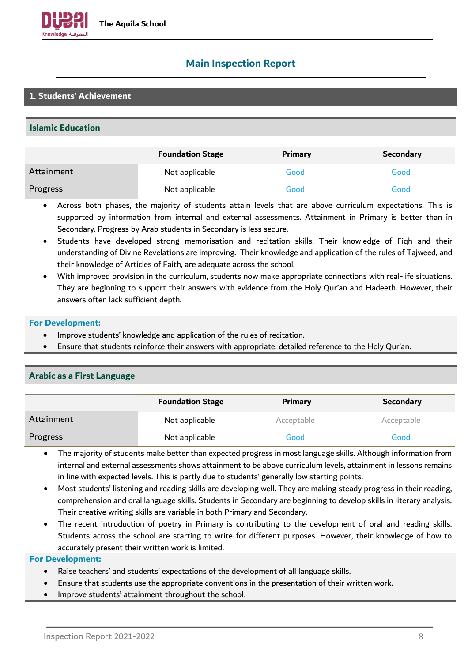

### <span id="page-7-0"></span>**Main Inspection Report**

#### **1. Students' Achievement**

#### **Islamic Education**

|            | <b>Foundation Stage</b> | <b>Primary</b> | Secondary |
|------------|-------------------------|----------------|-----------|
| Attainment | Not applicable.         | Good           | Good      |
| Progress   | Not applicable.         | Good           | Good      |

• Across both phases, the majority of students attain levels that are above curriculum expectations. This is supported by information from internal and external assessments. Attainment in Primary is better than in Secondary. Progress by Arab students in Secondary is less secure.

- Students have developed strong memorisation and recitation skills. Their knowledge of Fiqh and their understanding of Divine Revelations are improving. Their knowledge and application of the rules of Tajweed, and their knowledge of Articles of Faith, are adequate across the school.
- With improved provision in the curriculum, students now make appropriate connections with real-life situations. They are beginning to support their answers with evidence from the Holy Qur'an and Hadeeth. However, their answers often lack sufficient depth.

#### **For Development:**

- Improve students' knowledge and application of the rules of recitation.
- Ensure that students reinforce their answers with appropriate, detailed reference to the Holy Qur'an.

|            | <b>Foundation Stage</b> | <b>Primary</b> | <b>Secondary</b> |
|------------|-------------------------|----------------|------------------|
| Attainment | Not applicable          | Acceptable.    | Acceptable       |
| Progress   | Not applicable          | Good           | Good             |

# **Arabic as a First Language**

- The majority of students make better than expected progress in most language skills. Although information from internal and external assessments shows attainment to be above curriculum levels, attainment in lessons remains in line with expected levels. This is partly due to students' generally low starting points.
- Most students' listening and reading skills are developing well. They are making steady progress in their reading, comprehension and oral language skills. Students in Secondary are beginning to develop skills in literary analysis. Their creative writing skills are variable in both Primary and Secondary.
- The recent introduction of poetry in Primary is contributing to the development of oral and reading skills. Students across the school are starting to write for different purposes. However, their knowledge of how to accurately present their written work is limited.

- Raise teachers' and students' expectations of the development of all language skills.
- Ensure that students use the appropriate conventions in the presentation of their written work.
- Improve students' attainment throughout the school.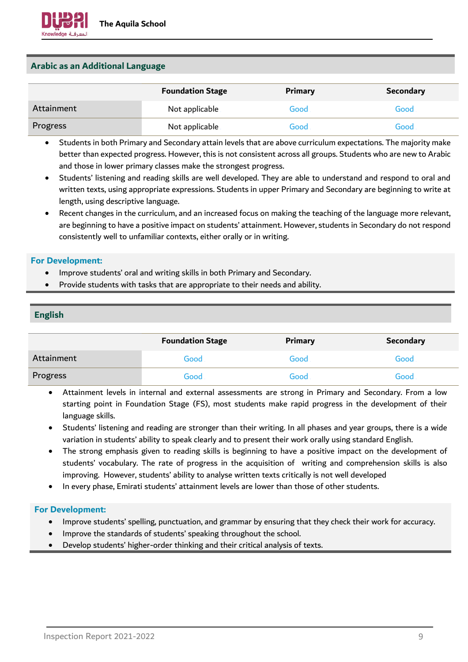#### **Arabic as an Additional Language**

|            | <b>Foundation Stage</b> | Primary | <b>Secondary</b> |
|------------|-------------------------|---------|------------------|
| Attainment | Not applicable          | Good    | Good             |
| Progress   | Not applicable          | Good    | Good             |

- Students in both Primary and Secondary attain levels that are above curriculum expectations. The majority make better than expected progress. However, this is not consistent across all groups. Students who are new to Arabic and those in lower primary classes make the strongest progress.
- Students' listening and reading skills are well developed. They are able to understand and respond to oral and written texts, using appropriate expressions. Students in upper Primary and Secondary are beginning to write at length, using descriptive language.
- Recent changes in the curriculum, and an increased focus on making the teaching of the language more relevant, are beginning to have a positive impact on students' attainment. However, students in Secondary do not respond consistently well to unfamiliar contexts, either orally or in writing.

#### **For Development:**

- Improve students' oral and writing skills in both Primary and Secondary.
- Provide students with tasks that are appropriate to their needs and ability.

#### **English**

|            | <b>Foundation Stage</b> | <b>Primary</b> | <b>Secondary</b> |
|------------|-------------------------|----------------|------------------|
| Attainment | Good                    | Good           | Good             |
| Progress   | Good                    | Good           | Good             |

- Attainment levels in internal and external assessments are strong in Primary and Secondary. From a low starting point in Foundation Stage (FS), most students make rapid progress in the development of their language skills.
- Students' listening and reading are stronger than their writing. In all phases and year groups, there is a wide variation in students' ability to speak clearly and to present their work orally using standard English.
- The strong emphasis given to reading skills is beginning to have a positive impact on the development of students' vocabulary. The rate of progress in the acquisition of writing and comprehension skills is also improving. However, students' ability to analyse written texts critically is not well developed
- In every phase, Emirati students' attainment levels are lower than those of other students.

- Improve students' spelling, punctuation, and grammar by ensuring that they check their work for accuracy.
- Improve the standards of students' speaking throughout the school.
- Develop students' higher-order thinking and their critical analysis of texts.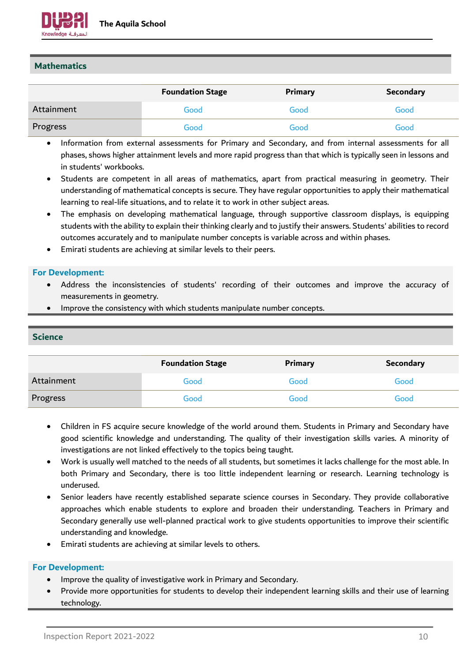

#### **Mathematics**

|            | <b>Foundation Stage</b> | Primary | Secondary |
|------------|-------------------------|---------|-----------|
| Attainment | Good                    | Good    | Good      |
| Progress   | Good                    | Good    | Good      |

- Information from external assessments for Primary and Secondary, and from internal assessments for all phases, shows higher attainment levels and more rapid progress than that which is typically seen in lessons and in students' workbooks.
- Students are competent in all areas of mathematics, apart from practical measuring in geometry. Their understanding of mathematical concepts is secure. They have regular opportunities to apply their mathematical learning to real-life situations, and to relate it to work in other subject areas.
- The emphasis on developing mathematical language, through supportive classroom displays, is equipping students with the ability to explain their thinking clearly and to justify their answers. Students' abilities to record outcomes accurately and to manipulate number concepts is variable across and within phases.
- Emirati students are achieving at similar levels to their peers.

#### **For Development:**

- Address the inconsistencies of students' recording of their outcomes and improve the accuracy of measurements in geometry.
- Improve the consistency with which students manipulate number concepts.

#### **Science**

|            | <b>Foundation Stage</b> | Primary | <b>Secondary</b> |
|------------|-------------------------|---------|------------------|
| Attainment | Good.                   | Good    | Good             |
| Progress   | Good                    | Good    | Good             |

- Children in FS acquire secure knowledge of the world around them. Students in Primary and Secondary have good scientific knowledge and understanding. The quality of their investigation skills varies. A minority of investigations are not linked effectively to the topics being taught.
- Work is usually well matched to the needs of all students, but sometimes it lacks challenge for the most able. In both Primary and Secondary, there is too little independent learning or research. Learning technology is underused.
- Senior leaders have recently established separate science courses in Secondary. They provide collaborative approaches which enable students to explore and broaden their understanding. Teachers in Primary and Secondary generally use well-planned practical work to give students opportunities to improve their scientific understanding and knowledge.
- Emirati students are achieving at similar levels to others.

- Improve the quality of investigative work in Primary and Secondary.
- Provide more opportunities for students to develop their independent learning skills and their use of learning technology.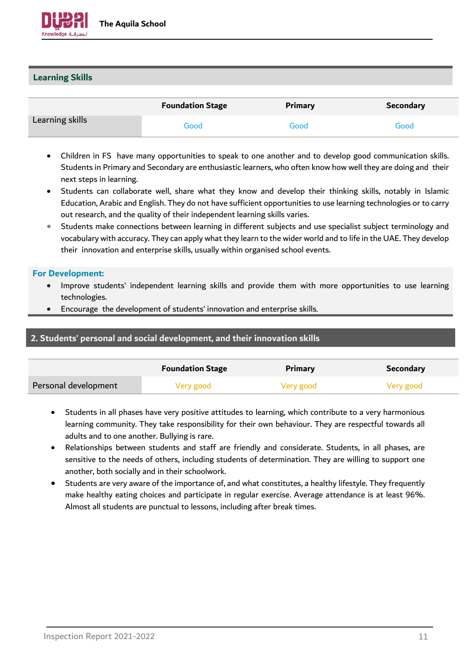

#### **Learning Skills**

|                 | <b>Foundation Stage</b> | Primary | <b>Secondary</b> |
|-----------------|-------------------------|---------|------------------|
| Learning skills | Good                    | Good    | Good             |

- Children in FS have many opportunities to speak to one another and to develop good communication skills. Students in Primary and Secondary are enthusiastic learners, who often know how well they are doing and their next steps in learning.
- Students can collaborate well, share what they know and develop their thinking skills, notably in Islamic Education, Arabic and English. They do not have sufficient opportunities to use learning technologies or to carry out research, and the quality of their independent learning skills varies.
- Students make connections between learning in different subjects and use specialist subject terminology and vocabulary with accuracy. They can apply what they learn to the wider world and to life in the UAE. They develop their innovation and enterprise skills, usually within organised school events.

#### **For Development:**

- Improve students' independent learning skills and provide them with more opportunities to use learning technologies.
- Encourage the development of students' innovation and enterprise skills.

#### **2. Students' personal and social development, and their innovation skills**

|                      | <b>Foundation Stage</b> | Primary   | <b>Secondary</b> |
|----------------------|-------------------------|-----------|------------------|
| Personal development | Very good               | Very good | Very good        |

- Students in all phases have very positive attitudes to learning, which contribute to a very harmonious learning community. They take responsibility for their own behaviour. They are respectful towards all adults and to one another. Bullying is rare.
- Relationships between students and staff are friendly and considerate. Students, in all phases, are sensitive to the needs of others, including students of determination. They are willing to support one another, both socially and in their schoolwork.
- Students are very aware of the importance of, and what constitutes, a healthy lifestyle. They frequently make healthy eating choices and participate in regular exercise. Average attendance is at least 96%. Almost all students are punctual to lessons, including after break times.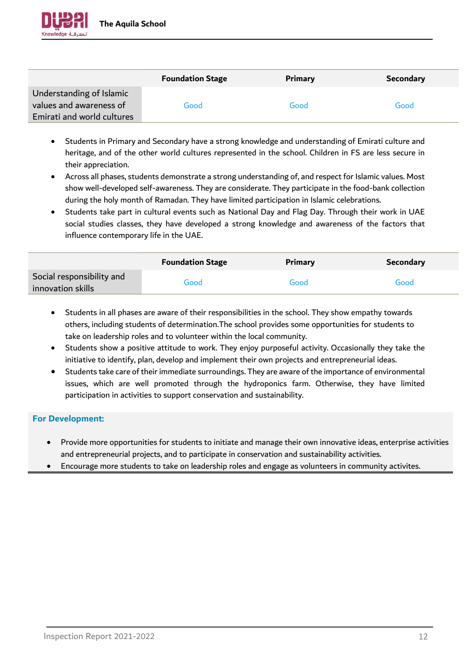

|                            | <b>Foundation Stage</b> | Primary | <b>Secondary</b> |
|----------------------------|-------------------------|---------|------------------|
| Understanding of Islamic   |                         |         |                  |
| values and awareness of    | Good                    | Good    | Good             |
| Emirati and world cultures |                         |         |                  |

- Students in Primary and Secondary have a strong knowledge and understanding of Emirati culture and heritage, and of the other world cultures represented in the school. Children in FS are less secure in their appreciation.
- Across all phases, students demonstrate a strong understanding of, and respect for Islamic values. Most show well-developed self-awareness. They are considerate. They participate in the food-bank collection during the holy month of Ramadan. They have limited participation in Islamic celebrations.
- Students take part in cultural events such as National Day and Flag Day. Through their work in UAE social studies classes, they have developed a strong knowledge and awareness of the factors that influence contemporary life in the UAE.

|                                                | <b>Foundation Stage</b> | <b>Primary</b> | <b>Secondary</b> |
|------------------------------------------------|-------------------------|----------------|------------------|
| Social responsibility and<br>innovation skills | Good                    | Good           | Good             |

- Students in all phases are aware of their responsibilities in the school. They show empathy towards others, including students of determination.The school provides some opportunities for students to take on leadership roles and to volunteer within the local community.
- Students show a positive attitude to work. They enjoy purposeful activity. Occasionally they take the initiative to identify, plan, develop and implement their own projects and entrepreneurial ideas.
- Students take care of their immediate surroundings. They are aware of the importance of environmental issues, which are well promoted through the hydroponics farm. Otherwise, they have limited participation in activities to support conservation and sustainability.

- Provide more opportunities for students to initiate and manage their own innovative ideas, enterprise activities and entrepreneurial projects, and to participate in conservation and sustainability activities.
- Encourage more students to take on leadership roles and engage as volunteers in community activites.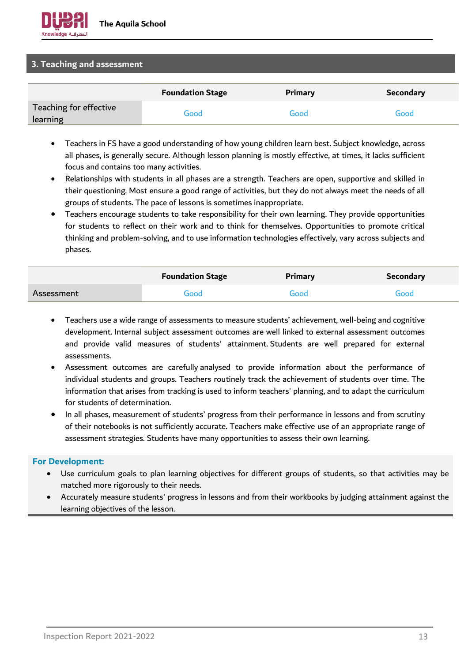

#### **3. Teaching and assessment**

|                                    | <b>Foundation Stage</b> | Primary | <b>Secondary</b> |
|------------------------------------|-------------------------|---------|------------------|
| Teaching for effective<br>learning | Good                    | Good    | Good             |

- Teachers in FS have a good understanding of how young children learn best. Subject knowledge, across all phases, is generally secure. Although lesson planning is mostly effective, at times, it lacks sufficient focus and contains too many activities.
- Relationships with students in all phases are a strength. Teachers are open, supportive and skilled in their questioning. Most ensure a good range of activities, but they do not always meet the needs of all groups of students. The pace of lessons is sometimes inappropriate.
- Teachers encourage students to take responsibility for their own learning. They provide opportunities for students to reflect on their work and to think for themselves. Opportunities to promote critical thinking and problem-solving, and to use information technologies effectively, vary across subjects and phases.

|            | <b>Foundation Stage</b> | <b>Primary</b> | <b>Secondary</b> |
|------------|-------------------------|----------------|------------------|
| Assessment | Good                    | Good           | Good             |

- Teachers use a wide range of assessments to measure students' achievement, well-being and cognitive development. Internal subject assessment outcomes are well linked to external assessment outcomes and provide valid measures of students' attainment. Students are well prepared for external assessments.
- Assessment outcomes are carefully analysed to provide information about the performance of individual students and groups. Teachers routinely track the achievement of students over time. The information that arises from tracking is used to inform teachers' planning, and to adapt the curriculum for students of determination.
- In all phases, measurement of students' progress from their performance in lessons and from scrutiny of their notebooks is not sufficiently accurate. Teachers make effective use of an appropriate range of assessment strategies. Students have many opportunities to assess their own learning.

- Use curriculum goals to plan learning objectives for different groups of students, so that activities may be matched more rigorously to their needs.
- Accurately measure students' progress in lessons and from their workbooks by judging attainment against the learning objectives of the lesson.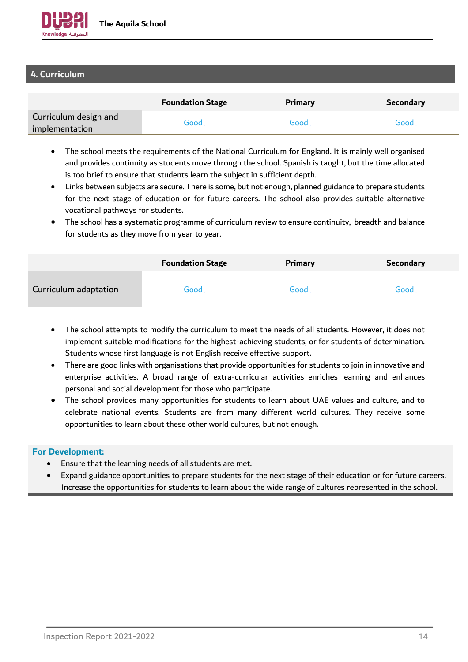

### **4. Curriculum**

|                                         | <b>Foundation Stage</b> | Primary | <b>Secondary</b> |
|-----------------------------------------|-------------------------|---------|------------------|
| Curriculum design and<br>implementation | Good                    | Good    | Good             |

- The school meets the requirements of the National Curriculum for England. It is mainly well organised and provides continuity as students move through the school. Spanish is taught, but the time allocated is too brief to ensure that students learn the subject in sufficient depth.
- Links between subjects are secure. There is some, but not enough, planned guidance to prepare students for the next stage of education or for future careers. The school also provides suitable alternative vocational pathways for students.
- The school has a systematic programme of curriculum review to ensure continuity, breadth and balance for students as they move from year to year.

|                       | <b>Foundation Stage</b> | <b>Primary</b> | <b>Secondary</b> |
|-----------------------|-------------------------|----------------|------------------|
| Curriculum adaptation | Good                    | Good           | Good             |

- The school attempts to modify the curriculum to meet the needs of all students. However, it does not implement suitable modifications for the highest-achieving students, or for students of determination. Students whose first language is not English receive effective support.
- There are good links with organisations that provide opportunities for students to join in innovative and enterprise activities. A broad range of extra-curricular activities enriches learning and enhances personal and social development for those who participate.
- The school provides many opportunities for students to learn about UAE values and culture, and to celebrate national events. Students are from many different world cultures. They receive some opportunities to learn about these other world cultures, but not enough.

- Ensure that the learning needs of all students are met.
- Expand guidance opportunities to prepare students for the next stage of their education or for future careers. Increase the opportunities for students to learn about the wide range of cultures represented in the school.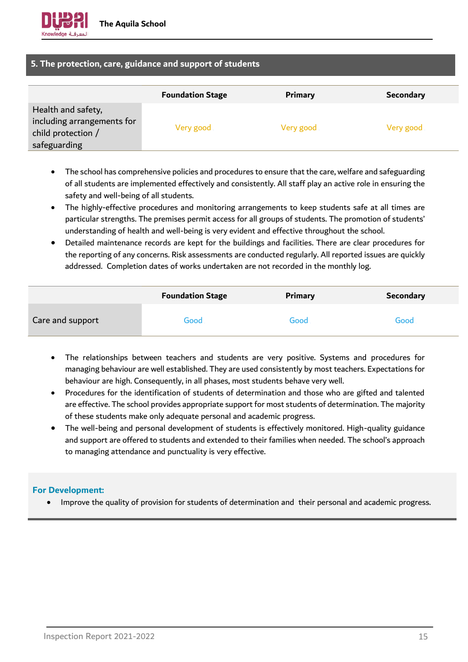

#### **5. The protection, care, guidance and support of students**

|                                                                                        | <b>Foundation Stage</b> | Primary   | <b>Secondary</b> |
|----------------------------------------------------------------------------------------|-------------------------|-----------|------------------|
| Health and safety,<br>including arrangements for<br>child protection /<br>safeguarding | Very good               | Very good | Very good        |

- The school has comprehensive policies and procedures to ensure that the care, welfare and safeguarding of all students are implemented effectively and consistently. All staff play an active role in ensuring the safety and well-being of all students.
- The highly-effective procedures and monitoring arrangements to keep students safe at all times are particular strengths. The premises permit access for all groups of students. The promotion of students' understanding of health and well-being is very evident and effective throughout the school.
- Detailed maintenance records are kept for the buildings and facilities. There are clear procedures for the reporting of any concerns. Risk assessments are conducted regularly. All reported issues are quickly addressed. Completion dates of works undertaken are not recorded in the monthly log.

|                  | <b>Foundation Stage</b> | Primary | <b>Secondary</b> |
|------------------|-------------------------|---------|------------------|
| Care and support | Good                    | Good    | Good             |

- The relationships between teachers and students are very positive. Systems and procedures for managing behaviour are well established. They are used consistently by most teachers. Expectations for behaviour are high. Consequently, in all phases, most students behave very well.
- Procedures for the identification of students of determination and those who are gifted and talented are effective. The school provides appropriate support for most students of determination. The majority of these students make only adequate personal and academic progress.
- The well-being and personal development of students is effectively monitored. High-quality guidance and support are offered to students and extended to their families when needed. The school's approach to managing attendance and punctuality is very effective.

#### **For Development:**

• Improve the quality of provision for students of determination and their personal and academic progress.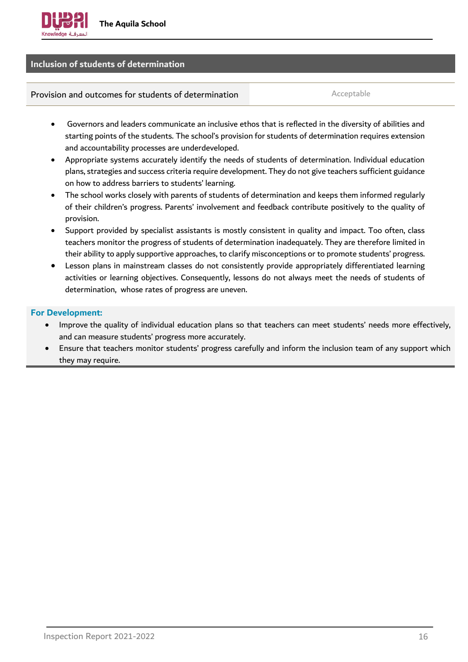

#### **Inclusion of students of determination**

**Provision and outcomes for students of determination** and the acceptable

- Governors and leaders communicate an inclusive ethos that is reflected in the diversity of abilities and starting points of the students. The school's provision for students of determination requires extension and accountability processes are underdeveloped.
- Appropriate systems accurately identify the needs of students of determination. Individual education plans, strategies and success criteria require development. They do not give teachers sufficient guidance on how to address barriers to students' learning.
- The school works closely with parents of students of determination and keeps them informed regularly of their children's progress. Parents' involvement and feedback contribute positively to the quality of provision.
- Support provided by specialist assistants is mostly consistent in quality and impact. Too often, class teachers monitor the progress of students of determination inadequately. They are therefore limited in their ability to apply supportive approaches, to clarify misconceptions or to promote students' progress.
- Lesson plans in mainstream classes do not consistently provide appropriately differentiated learning activities or learning objectives. Consequently, lessons do not always meet the needs of students of determination, whose rates of progress are uneven.

- Improve the quality of individual education plans so that teachers can meet students' needs more effectively, and can measure students' progress more accurately.
- Ensure that teachers monitor students' progress carefully and inform the inclusion team of any support which they may require.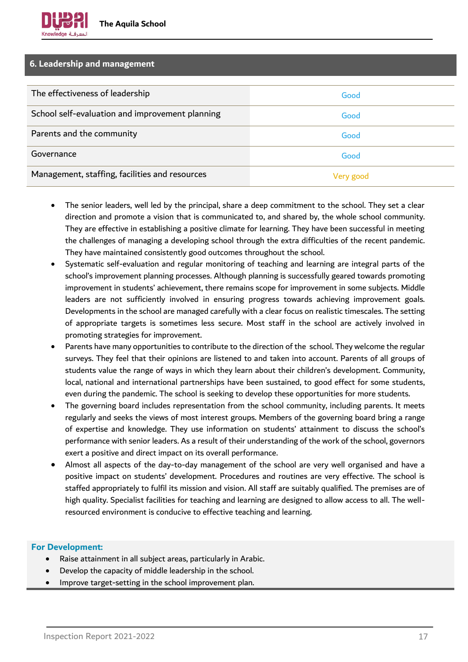#### **6. Leadership and management**

| The effectiveness of leadership                 | Good      |
|-------------------------------------------------|-----------|
| School self-evaluation and improvement planning | Good      |
| Parents and the community                       | Good      |
| Governance                                      | Good      |
| Management, staffing, facilities and resources  | Very good |

- The senior leaders, well led by the principal, share a deep commitment to the school. They set a clear direction and promote a vision that is communicated to, and shared by, the whole school community. They are effective in establishing a positive climate for learning. They have been successful in meeting the challenges of managing a developing school through the extra difficulties of the recent pandemic. They have maintained consistently good outcomes throughout the school.
- Systematic self-evaluation and regular monitoring of teaching and learning are integral parts of the school's improvement planning processes. Although planning is successfully geared towards promoting improvement in students' achievement, there remains scope for improvement in some subjects. Middle leaders are not sufficiently involved in ensuring progress towards achieving improvement goals. Developments in the school are managed carefully with a clear focus on realistic timescales. The setting of appropriate targets is sometimes less secure. Most staff in the school are actively involved in promoting strategies for improvement.
- Parents have many opportunities to contribute to the direction of the school. They welcome the regular surveys. They feel that their opinions are listened to and taken into account. Parents of all groups of students value the range of ways in which they learn about their children's development. Community, local, national and international partnerships have been sustained, to good effect for some students, even during the pandemic. The school is seeking to develop these opportunities for more students.
- The governing board includes representation from the school community, including parents. It meets regularly and seeks the views of most interest groups. Members of the governing board bring a range of expertise and knowledge. They use information on students' attainment to discuss the school's performance with senior leaders. As a result of their understanding of the work of the school, governors exert a positive and direct impact on its overall performance.
- Almost all aspects of the day-to-day management of the school are very well organised and have a positive impact on students' development. Procedures and routines are very effective. The school is staffed appropriately to fulfil its mission and vision. All staff are suitably qualified. The premises are of high quality. Specialist facilities for teaching and learning are designed to allow access to all. The wellresourced environment is conducive to effective teaching and learning.

- Raise attainment in all subject areas, particularly in Arabic.
- Develop the capacity of middle leadership in the school.
- Improve target-setting in the school improvement plan.